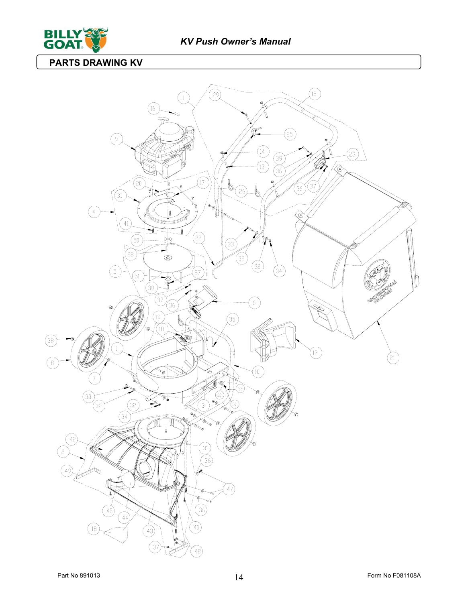

**PARTS DRAWING KV**